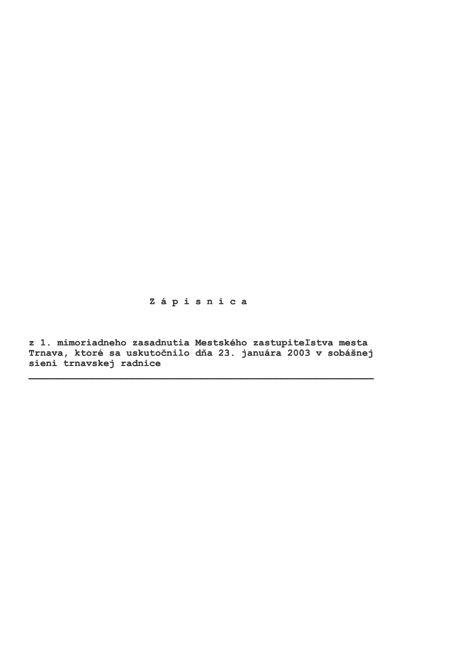# Zápisnica

z 1. mimoriadneho zasadnutia Mestského zastupiteľstva mesta Trnava, ktoré sa uskutočnilo dňa 23. januára 2003 v sobášnej sieni trnavskej radnice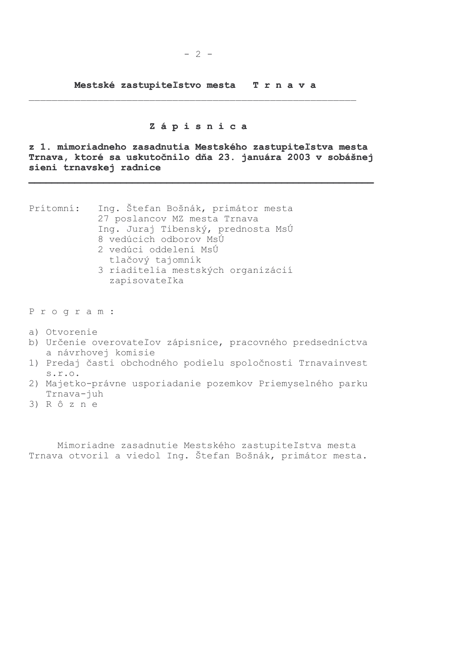Mestské zastupiteľstvo mesta Trnava

#### Zápisnica

z 1. mimoriadneho zasadnutia Mestského zastupiteľstva mesta Trnava, ktoré sa uskutočnilo dňa 23. januára 2003 v sobášnej sieni trnavskej radnice

| Prítomní: | Ing. Stefan Bošnák, primátor mesta |
|-----------|------------------------------------|
|           | 27 poslancov MZ mesta Trnava       |
|           | Ing. Juraj Tibenský, prednosta MsÚ |
|           | 8 vedúcich odborov MsÚ             |
|           | 2 vedúci oddelení MsÚ              |
|           | tlačový tajomník                   |
|           | 3 riaditelia mestských organizácií |
|           | zapisovateľka                      |
|           |                                    |
|           |                                    |

Program:

- a) Otvorenie
- b) Určenie overovateľov zápisnice, pracovného predsedníctva a návrhovej komisie
- 1) Predaj časti obchodného podielu spoločnosti Trnavainvest  $S.T.O.$
- 2) Majetko-právne usporiadanie pozemkov Priemyselného parku Trnava-juh
- $3)$  R  $\hat{o}$  z n e

Mimoriadne zasadnutie Mestského zastupiteľstva mesta Trnava otvoril a viedol Ing. Štefan Bošnák, primátor mesta.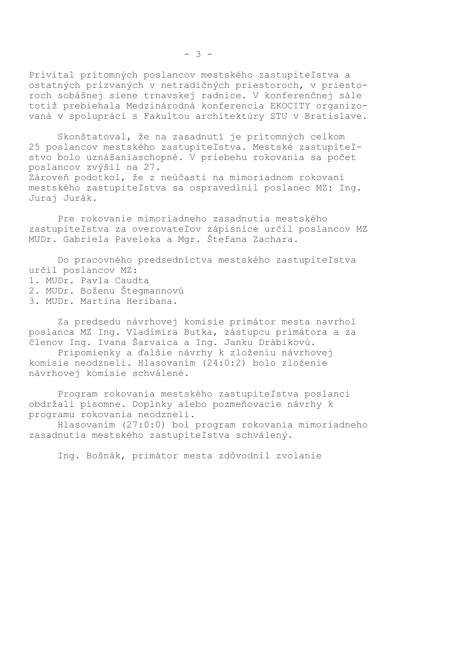Privítal prítomných poslancov mestského zastupiteľstva a ostatných prizvaných v netradičných priestoroch, v priestoroch sobášnej siene trnavskej radnice. V konferenčnej sále totiž prebiehala Medzinárodná konferencia EKOCITY organizovaná v spolupráci s Fakultou architektúry STU v Bratislave.

Skonštatoval, že na zasadnutí je prítomných celkom 25 poslancov mestského zastupiteľstva. Mestské zastupiteľstvo bolo uznášaniaschopné. V priebehu rokovania sa počet poslancov zvýšil na 27. Zároveň podotkol, že z neúčasti na mimoriadnom rokovaní mestského zastupiteľstva sa ospravedlnil poslanec MZ: Inq. Juraj Jurák.

Pre rokovanie mimoriadneho zasadnutia mestského zastupiteľstva za overovateľov zápisnice určil poslancov MZ MUDr. Gabriela Paveleka a Mgr. Štefana Zachara.

Do pracovného predsedníctva mestského zastupiteľstva určil poslancov MZ:

- 1. MUDr. Pavla Caudta
- 2. MUDr. Boženu Štegmannovú
- 3. MUDr. Martina Heribana.

Za predsedu návrhovej komisie primátor mesta navrhol poslanca MZ Ing. Vladimíra Butka, zástupcu primátora a za členov Ing. Ivana Šarvaica a Ing. Janku Drábikovú.

Pripomienky a ďalšie návrhy k zloženiu návrhovej komisie neodzneli. Hlasovaním (24:0:2) bolo zloženie návrhovej komisie schválené.

Program rokovania mestského zastupiteľstva poslanci obdržali písomne. Doplnky alebo pozmeňovacie návrhy k programu rokovania neodzneli.

Hlasovaním (27:0:0) bol program rokovania mimoriadneho zasadnutia mestského zastupiteľstva schválený.

Ing. Bošnák, primátor mesta zdôvodnil zvolanie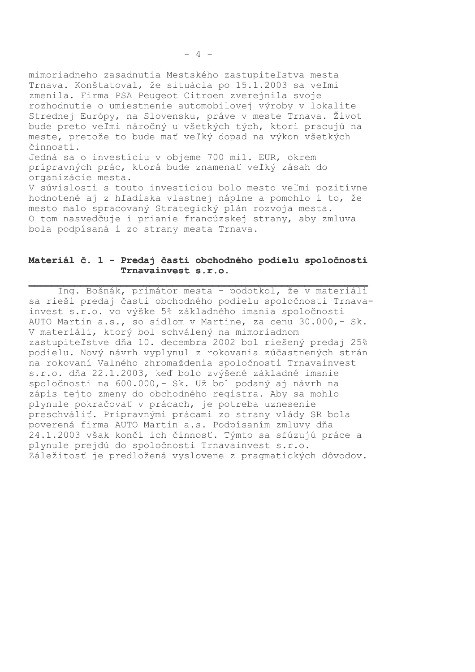mimoriadneho zasadnutia Mestského zastupiteľstva mesta Trnava. Konštatoval, že situácia po 15.1.2003 sa veľmi zmenila. Firma PSA Peugeot Citroen zverejnila svoje rozhodnutie o umiestnenie automobilovej výroby v lokalite Strednej Európy, na Slovensku, práve v meste Trnava. Život bude preto veľmi náročný u všetkých tých, ktorí pracujú na meste, pretože to bude mať veľký dopad na výkon všetkých činností. Jedná sa o investíciu v objeme 700 mil. EUR, okrem prípravných prác, ktorá bude znamenať veľký zásah do organizácie mesta. V súvislosti s touto investíciou bolo mesto veľmi pozitívne hodnotené aj z hľadiska vlastnej náplne a pomohlo i to, že mesto malo spracovaný Strategický plán rozvoja mesta. O tom nasvedčuje i prianie francúzskej strany, aby zmluva bola podpísaná i zo strany mesta Trnava.

# Materiál č. 1 - Predaj časti obchodného podielu spoločnosti Trnavainvest s.r.o.

Ing. Bošnák, primátor mesta - podotkol, že v materiáli sa rieši predaj časti obchodného podielu spoločnosti Trnavainvest s.r.o. vo výške 5% základného imania spoločnosti AUTO Martin a.s., so sídlom v Martine, za cenu 30.000, - Sk. V materiáli, ktorý bol schválený na mimoriadnom zastupiteľstve dňa 10. decembra 2002 bol riešený predaj 25% podielu. Nový návrh vyplynul z rokovania zúčastnených strán na rokovaní Valného zhromaždenia spoločnosti Trnavainvest s.r.o. dňa 22.1.2003, keď bolo zvýšené základné imanie spoločnosti na 600.000,- Sk. Už bol podaný aj návrh na zápis tejto zmeny do obchodného registra. Aby sa mohlo plynule pokračovať v prácach, je potreba uznesenie preschváliť. Prípravnými prácami zo strany vlády SR bola poverená firma AUTO Martin a.s. Podpísaním zmluvy dňa 24.1.2003 však končí ich činnosť. Týmto sa sfúzujú práce a plynule prejdú do spoločnosti Trnavainvest s.r.o. Záležitosť je predložená vyslovene z pragmatických dôvodov.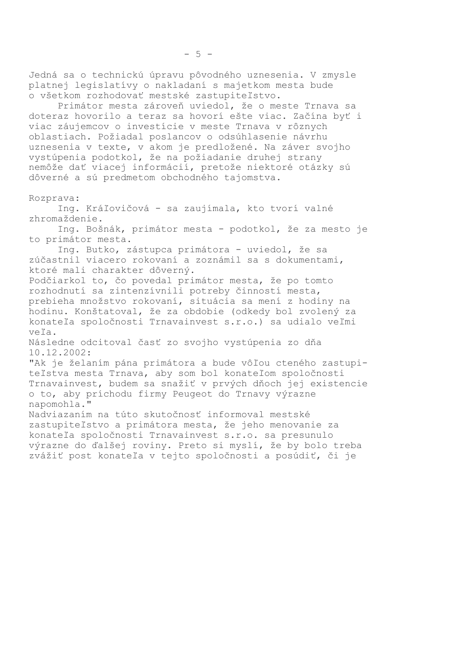Jedná sa o technickú úpravu pôvodného uznesenia. V zmysle platnej legislatívy o nakladaní s majetkom mesta bude o všetkom rozhodovať mestské zastupiteľstvo. Primátor mesta zároveň uviedol, že o meste Trnava sa doteraz hovorilo a teraz sa hovorí ešte viac. Začína byť i viac záujemcov o investície v meste Trnava v rôznych oblastiach. Požiadal poslancov o odsúhlasenie návrhu uznesenia v texte, v akom je predložené. Na záver svojho vystúpenia podotkol, že na požiadanie druhej strany nemôže dať viacej informácií, pretože niektoré otázky sú dôverné a sú predmetom obchodného tajomstva. Rozprava: Ing. Kráľovičová - sa zaujímala, kto tvorí valné zhromaždenie. Ing. Bošnák, primátor mesta - podotkol, že za mesto je to primátor mesta. Ing. Butko, zástupca primátora - uviedol, že sa zúčastnil viacero rokovaní a zoznámil sa s dokumentami, ktoré mali charakter dôverný. Podčiarkol to, čo povedal primátor mesta, že po tomto rozhodnutí sa zintenzívnili potreby činností mesta, prebieha množstvo rokovaní, situácia sa mení z hodiny na hodinu. Konštatoval, že za obdobie (odkedy bol zvolený za konateľa spoločnosti Trnavainvest s.r.o.) sa udialo veľmi veľa. Následne odcitoval časť zo svojho vystúpenia zo dňa 10.12.2002: "Ak je želaním pána primátora a bude vôľou cteného zastupiteľstva mesta Trnava, aby som bol konateľom spoločnosti Trnavainvest, budem sa snažiť v prvých dňoch jej existencie o to, aby príchodu firmy Peugeot do Trnavy výrazne napomohla." Nadviazaním na túto skutočnosť informoval mestské zastupiteľstvo a primátora mesta, že jeho menovanie za konateľa spoločnosti Trnavainvest s.r.o. sa presunulo výrazne do ďalšej roviny. Preto si myslí, že by bolo treba zvážiť post konateľa v tejto spoločnosti a posúdiť, či je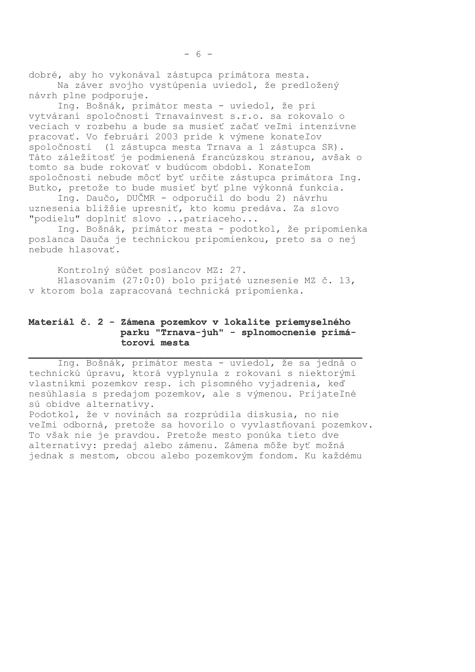dobré, aby ho vykonával zástupca primátora mesta. Na záver svojho vystúpenia uviedol, že predložený návrh plne podporuje.

Ing. Bošnák, primátor mesta - uviedol, že pri vytváraní spoločnosti Trnavainvest s.r.o. sa rokovalo o veciach v rozbehu a bude sa musieť začať veľmi intenzívne pracovať. Vo februári 2003 príde k výmene konateľov spoločnosti (1 zástupca mesta Trnava a 1 zástupca SR). Táto záležitosť je podmienená francúzskou stranou, avšak o tomto sa bude rokovať v budúcom období. Konateľom spoločnosti nebude môcť byť určite zástupca primátora Ing. Butko, pretože to bude musieť byť plne výkonná funkcia.

Ing. Daučo, DUČMR - odporučil do bodu 2) návrhu uznesenia bližšie upresniť, kto komu predáva. Za slovo "podielu" doplniť slovo ... patriaceho...

Ing. Bošnák, primátor mesta - podotkol, že pripomienka poslanca Dauča je technickou pripomienkou, preto sa o nej nebude hlasovať.

Kontrolný súčet poslancov MZ: 27. Hlasovaním (27:0:0) bolo prijaté uznesenie MZ č. 13, v ktorom bola zapracovaná technická pripomienka.

# Materiál č. 2 - Zámena pozemkov v lokalite priemyselného parku "Trnava-juh" - splnomocnenie primátorovi mesta

Ing. Bošnák, primátor mesta - uviedol, že sa jedná o technickú úpravu, ktorá vyplynula z rokovaní s niektorými vlastníkmi pozemkov resp. ich písomného vyjadrenia, keď nesúhlasia s predajom pozemkov, ale s výmenou. Prijateľné sú obidve alternatívy. Podotkol, že v novinách sa rozprúdila diskusia, no nie veľmi odborná, pretože sa hovorilo o vyvlastňovaní pozemkov. To však nie je pravdou. Pretože mesto ponúka tieto dve alternatívy: predaj alebo zámenu. Zámena môže byť možná

jednak s mestom, obcou alebo pozemkovým fondom. Ku každému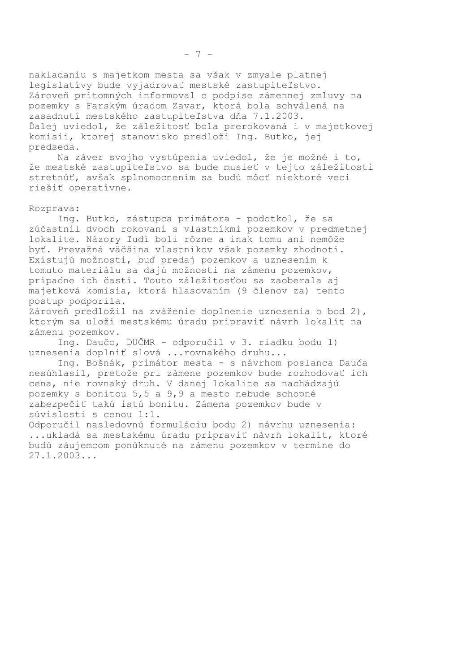nakladaniu s majetkom mesta sa však v zmysle platnej legislatívy bude vyjadrovať mestské zastupiteľstvo. Zároveň prítomných informoval o podpise zámennej zmluvy na pozemky s Farským úradom Zavar, ktorá bola schválená na zasadnutí mestského zastupiteľstva dňa 7.1.2003. Ďalej uviedol, že záležitosť bola prerokovaná i v majetkovej komisii, ktorej stanovisko predloží Ing. Butko, jej predseda.

Na záver svojho vystúpenia uviedol, že je možné i to, že mestské zastupiteľstvo sa bude musieť v tejto záležitosti stretnúť, avšak splnomocnením sa budú môcť niektoré veci riešiť operatívne.

#### Rozprava:

Ing. Butko, zástupca primátora - podotkol, že sa zúčastnil dvoch rokovaní s vlastníkmi pozemkov v predmetnej lokalite. Názory ľudí boli rôzne a inak tomu ani nemôže byť. Prevažná väčšina vlastníkov však pozemky zhodnotí. Existujú možnosti, buď predaj pozemkov a uznesením k tomuto materiálu sa dajú možnosti na zámenu pozemkov, prípadne ich častí. Touto záležitosťou sa zaoberala aj majetková komisia, ktorá hlasovaním (9 členov za) tento postup podporila.

Zároveň predložil na zváženie doplnenie uznesenia o bod 2), ktorým sa uloží mestskému úradu pripraviť návrh lokalít na zámenu pozemkov.

Ing. Daučo, DUČMR - odporučil v 3. riadku bodu 1) uznesenia doplniť slová ...rovnakého druhu...

Ing. Bošnák, primátor mesta - s návrhom poslanca Dauča nesúhlasil, pretože pri zámene pozemkov bude rozhodovať ich cena, nie rovnaký druh. V danej lokalite sa nachádzajú pozemky s bonitou 5,5 a 9,9 a mesto nebude schopné zabezpečiť takú istú bonitu. Zámena pozemkov bude v súvislosti s cenou 1:1.

Odporučil nasledovnú formuláciu bodu 2) návrhu uznesenia: ...ukladá sa mestskému úradu pripraviť návrh lokalít, ktoré budú záujemcom ponúknuté na zámenu pozemkov v termíne do  $27.1.2003...$